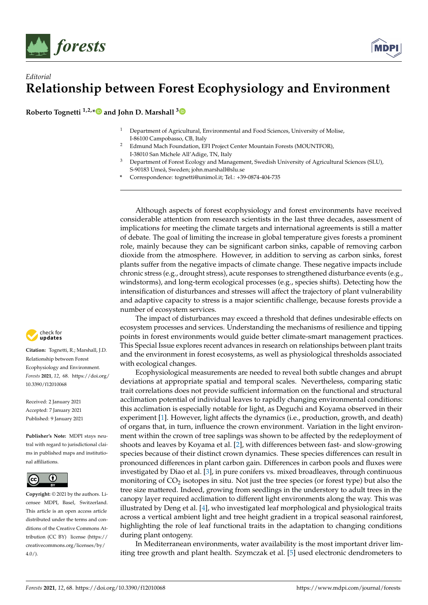



**Roberto Tognetti 1,2,[\\*](https://orcid.org/0000-0002-7771-6176) and John D. Marshall [3](https://orcid.org/0000-0002-3841-8942)**

- <sup>1</sup> Department of Agricultural, Environmental and Food Sciences, University of Molise, I-86100 Campobasso, CB, Italy
- <sup>2</sup> Edmund Mach Foundation, EFI Project Center Mountain Forests (MOUNTFOR), I-38010 San Michele All'Adige, TN, Italy
- <sup>3</sup> Department of Forest Ecology and Management, Swedish University of Agricultural Sciences (SLU), S-90183 Umeå, Sweden; john.marshall@slu.se
- **\*** Correspondence: tognetti@unimol.it; Tel.: +39-0874-404-735

Although aspects of forest ecophysiology and forest environments have received considerable attention from research scientists in the last three decades, assessment of implications for meeting the climate targets and international agreements is still a matter of debate. The goal of limiting the increase in global temperature gives forests a prominent role, mainly because they can be significant carbon sinks, capable of removing carbon dioxide from the atmosphere. However, in addition to serving as carbon sinks, forest plants suffer from the negative impacts of climate change. These negative impacts include chronic stress (e.g., drought stress), acute responses to strengthened disturbance events (e.g., windstorms), and long-term ecological processes (e.g., species shifts). Detecting how the intensification of disturbances and stresses will affect the trajectory of plant vulnerability and adaptive capacity to stress is a major scientific challenge, because forests provide a number of ecosystem services.

The impact of disturbances may exceed a threshold that defines undesirable effects on ecosystem processes and services. Understanding the mechanisms of resilience and tipping points in forest environments would guide better climate-smart management practices. This Special Issue explores recent advances in research on relationships between plant traits and the environment in forest ecosystems, as well as physiological thresholds associated with ecological changes.

Ecophysiological measurements are needed to reveal both subtle changes and abrupt deviations at appropriate spatial and temporal scales. Nevertheless, comparing static trait correlations does not provide sufficient information on the functional and structural acclimation potential of individual leaves to rapidly changing environmental conditions: this acclimation is especially notable for light, as Deguchi and Koyama observed in their experiment [\[1\]](#page-2-0). However, light affects the dynamics (i.e., production, growth, and death) of organs that, in turn, influence the crown environment. Variation in the light environment within the crown of tree saplings was shown to be affected by the redeployment of shoots and leaves by Koyama et al. [\[2\]](#page-2-1), with differences between fast- and slow-growing species because of their distinct crown dynamics. These species differences can result in pronounced differences in plant carbon gain. Differences in carbon pools and fluxes were investigated by Diao et al. [\[3\]](#page-2-2), in pure conifers vs. mixed broadleaves, through continuous monitoring of  $CO_2$  isotopes in situ. Not just the tree species (or forest type) but also the tree size mattered. Indeed, growing from seedlings in the understory to adult trees in the canopy layer required acclimation to different light environments along the way. This was illustrated by Deng et al. [\[4\]](#page-2-3), who investigated leaf morphological and physiological traits across a vertical ambient light and tree height gradient in a tropical seasonal rainforest, highlighting the role of leaf functional traits in the adaptation to changing conditions during plant ontogeny.

In Mediterranean environments, water availability is the most important driver limiting tree growth and plant health. Szymczak et al. [\[5\]](#page-2-4) used electronic dendrometers to



**Citation:** Tognetti, R.; Marshall, J.D. Relationship between Forest Ecophysiology and Environment. *Forests* **2021**, *12*, 68. [https://doi.org/](https://doi.org/10.3390/f12010068) [10.3390/f12010068](https://doi.org/10.3390/f12010068)

Received: 2 January 2021 Accepted: 7 January 2021 Published: 9 January 2021

**Publisher's Note:** MDPI stays neutral with regard to jurisdictional claims in published maps and institutional affiliations.



**Copyright:** © 2021 by the authors. Licensee MDPI, Basel, Switzerland. This article is an open access article distributed under the terms and conditions of the Creative Commons Attribution (CC BY) license [\(https://](https://creativecommons.org/licenses/by/4.0/) [creativecommons.org/licenses/by/](https://creativecommons.org/licenses/by/4.0/)  $4.0/$ ).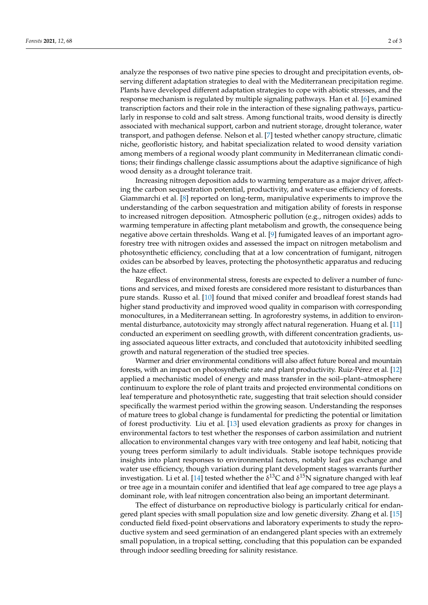analyze the responses of two native pine species to drought and precipitation events, observing different adaptation strategies to deal with the Mediterranean precipitation regime. Plants have developed different adaptation strategies to cope with abiotic stresses, and the response mechanism is regulated by multiple signaling pathways. Han et al. [\[6\]](#page-2-5) examined transcription factors and their role in the interaction of these signaling pathways, particularly in response to cold and salt stress. Among functional traits, wood density is directly associated with mechanical support, carbon and nutrient storage, drought tolerance, water transport, and pathogen defense. Nelson et al. [\[7\]](#page-2-6) tested whether canopy structure, climatic niche, geofloristic history, and habitat specialization related to wood density variation among members of a regional woody plant community in Mediterranean climatic conditions; their findings challenge classic assumptions about the adaptive significance of high wood density as a drought tolerance trait.

Increasing nitrogen deposition adds to warming temperature as a major driver, affecting the carbon sequestration potential, productivity, and water-use efficiency of forests. Giammarchi et al. [\[8\]](#page-2-7) reported on long-term, manipulative experiments to improve the understanding of the carbon sequestration and mitigation ability of forests in response to increased nitrogen deposition. Atmospheric pollution (e.g., nitrogen oxides) adds to warming temperature in affecting plant metabolism and growth, the consequence being negative above certain thresholds. Wang et al. [\[9\]](#page-2-8) fumigated leaves of an important agroforestry tree with nitrogen oxides and assessed the impact on nitrogen metabolism and photosynthetic efficiency, concluding that at a low concentration of fumigant, nitrogen oxides can be absorbed by leaves, protecting the photosynthetic apparatus and reducing the haze effect.

Regardless of environmental stress, forests are expected to deliver a number of functions and services, and mixed forests are considered more resistant to disturbances than pure stands. Russo et al. [\[10\]](#page-2-9) found that mixed conifer and broadleaf forest stands had higher stand productivity and improved wood quality in comparison with corresponding monocultures, in a Mediterranean setting. In agroforestry systems, in addition to environmental disturbance, autotoxicity may strongly affect natural regeneration. Huang et al. [\[11\]](#page-2-10) conducted an experiment on seedling growth, with different concentration gradients, using associated aqueous litter extracts, and concluded that autotoxicity inhibited seedling growth and natural regeneration of the studied tree species.

Warmer and drier environmental conditions will also affect future boreal and mountain forests, with an impact on photosynthetic rate and plant productivity. Ruiz-Pérez et al. [\[12\]](#page-2-11) applied a mechanistic model of energy and mass transfer in the soil–plant–atmosphere continuum to explore the role of plant traits and projected environmental conditions on leaf temperature and photosynthetic rate, suggesting that trait selection should consider specifically the warmest period within the growing season. Understanding the responses of mature trees to global change is fundamental for predicting the potential or limitation of forest productivity. Liu et al. [\[13\]](#page-2-12) used elevation gradients as proxy for changes in environmental factors to test whether the responses of carbon assimilation and nutrient allocation to environmental changes vary with tree ontogeny and leaf habit, noticing that young trees perform similarly to adult individuals. Stable isotope techniques provide insights into plant responses to environmental factors, notably leaf gas exchange and water use efficiency, though variation during plant development stages warrants further investigation. Li et al. [\[14\]](#page-2-13) tested whether the  $\delta^{13}C$  and  $\delta^{15}N$  signature changed with leaf or tree age in a mountain conifer and identified that leaf age compared to tree age plays a dominant role, with leaf nitrogen concentration also being an important determinant.

The effect of disturbance on reproductive biology is particularly critical for endangered plant species with small population size and low genetic diversity. Zhang et al. [\[15\]](#page-2-14) conducted field fixed-point observations and laboratory experiments to study the reproductive system and seed germination of an endangered plant species with an extremely small population, in a tropical setting, concluding that this population can be expanded through indoor seedling breeding for salinity resistance.